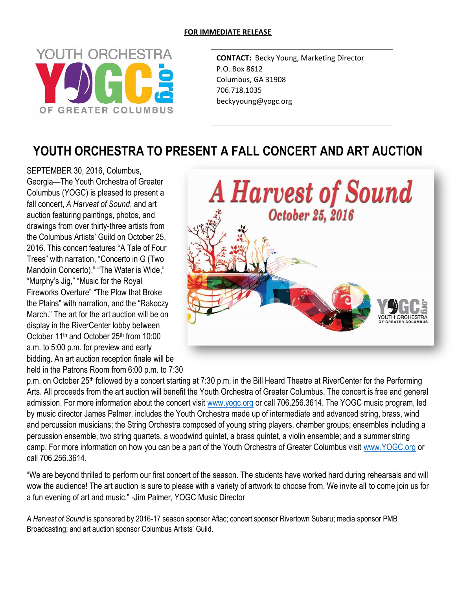## **FOR IMMEDIATE RELEASE**



**CONTACT:** Becky Young, Marketing Director P.O. Box 8612 Columbus, GA 31908 706.718.1035 beckyyoung@yogc.org

## **YOUTH ORCHESTRA TO PRESENT A FALL CONCERT AND ART AUCTION**

SEPTEMBER 30, 2016, Columbus, Georgia—The Youth Orchestra of Greater Columbus (YOGC) is pleased to present a fall concert, *A Harvest of Sound*, and art auction featuring paintings, photos, and drawings from over thirty-three artists from the Columbus Artists' Guild on October 25, 2016. This concert features "A Tale of Four Trees" with narration, "Concerto in G (Two Mandolin Concerto)," "The Water is Wide," "Murphy's Jig," "Music for the Royal Fireworks Overture" "The Plow that Broke the Plains" with narration, and the "Rakoczy March." The art for the art auction will be on display in the RiverCenter lobby between October 11<sup>th</sup> and October 25<sup>th</sup> from 10:00 a.m. to 5:00 p.m. for preview and early bidding. An art auction reception finale will be held in the Patrons Room from 6:00 p.m. to 7:30



p.m. on October 25<sup>th</sup> followed by a concert starting at 7:30 p.m. in the Bill Heard Theatre at RiverCenter for the Performing Arts. All proceeds from the art auction will benefit the Youth Orchestra of Greater Columbus. The concert is free and general admission. For more information about the concert visit [www.yogc.org](http://www.yogc.org/) or call 706.256.3614. The YOGC music program, led by music director James Palmer, includes the Youth Orchestra made up of intermediate and advanced string, brass, wind and percussion musicians; the String Orchestra composed of young string players, chamber groups; ensembles including a percussion ensemble, two string quartets, a woodwind quintet, a brass quintet, a violin ensemble; and a summer string camp. For more information on how you can be a part of the Youth Orchestra of Greater Columbus visit [www.YOGC.org](http://www.yogc.org/) or call 706.256.3614.

"We are beyond thrilled to perform our first concert of the season. The students have worked hard during rehearsals and will wow the audience! The art auction is sure to please with a variety of artwork to choose from. We invite all to come join us for a fun evening of art and music." -Jim Palmer, YOGC Music Director

*A Harvest of Sound* is sponsored by 2016-17 season sponsor Aflac; concert sponsor Rivertown Subaru; media sponsor PMB Broadcasting; and art auction sponsor Columbus Artists' Guild.